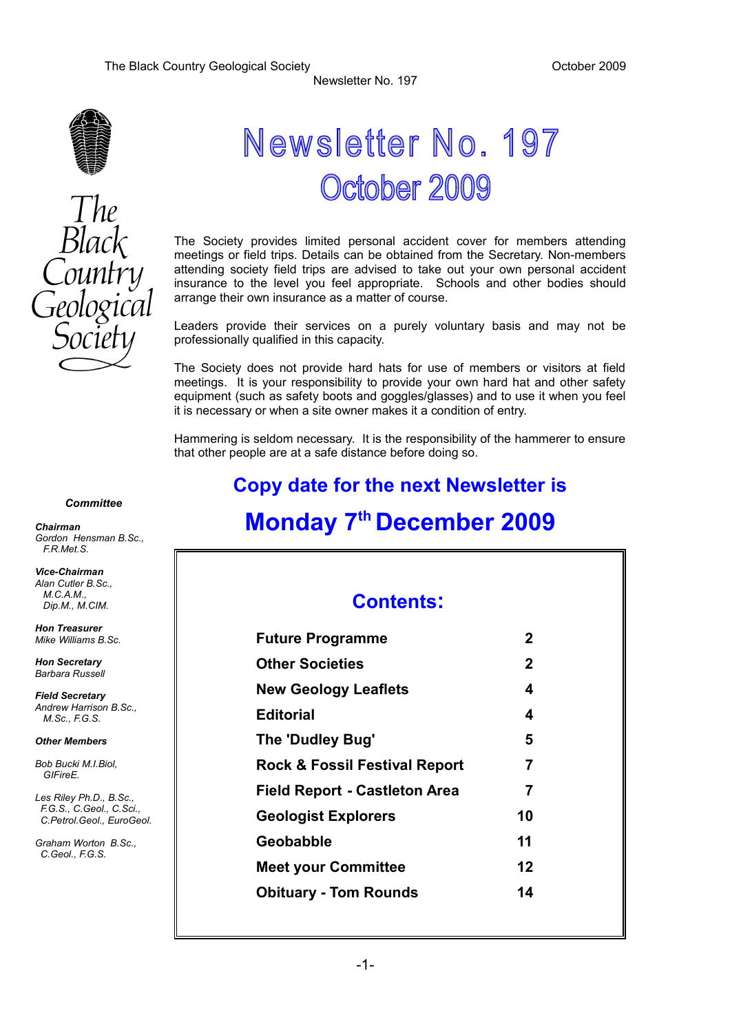



## Newsletter No. 197 October 2009

Newsletter No. 197

The Society provides limited personal accident cover for members attending meetings or field trips. Details can be obtained from the Secretary. Non-members attending society field trips are advised to take out your own personal accident insurance to the level you feel appropriate. Schools and other bodies should arrange their own insurance as a matter of course.

Leaders provide their services on a purely voluntary basis and may not be professionally qualified in this capacity.

The Society does not provide hard hats for use of members or visitors at field meetings. It is your responsibility to provide your own hard hat and other safety equipment (such as safety boots and goggles/glasses) and to use it when you feel it is necessary or when a site owner makes it a condition of entry.

Hammering is seldom necessary. It is the responsibility of the hammerer to ensure that other people are at a safe distance before doing so.

## **Copy date for the next Newsletter is Monday 7th December 2009**

## **Contents:**

| <b>Future Programme</b>                  | 2            |
|------------------------------------------|--------------|
| <b>Other Societies</b>                   | $\mathbf{2}$ |
| <b>New Geology Leaflets</b>              | 4            |
| <b>Editorial</b>                         | 4            |
| The 'Dudley Bug'                         | 5            |
| <b>Rock &amp; Fossil Festival Report</b> | 7            |
| <b>Field Report - Castleton Area</b>     | 7            |
| <b>Geologist Explorers</b>               | 10           |
| <b>Geobabble</b>                         | 11           |
| <b>Meet your Committee</b>               | 12           |
| <b>Obituary - Tom Rounds</b>             | 14           |
|                                          |              |

#### *Committee*

*Chairman Gordon Hensman B.Sc., F.R.Met.S.*

*Vice-Chairman Alan Cutler B.Sc., M.C.A.M., Dip.M., M.CIM.*

*Hon Treasurer Mike Williams B.Sc.*

*Hon Secretary Barbara Russell*

*Field Secretary Andrew Harrison B.Sc., M.Sc., F.G.S.*

#### *Other Members*

*Bob Bucki M.I.Biol, GIFireE.*

*Les Riley Ph.D., B.Sc., F.G.S., C.Geol., C.Sci., C.Petrol.Geol., EuroGeol.*

*Graham Worton B.Sc., C.Geol., F.G.S.*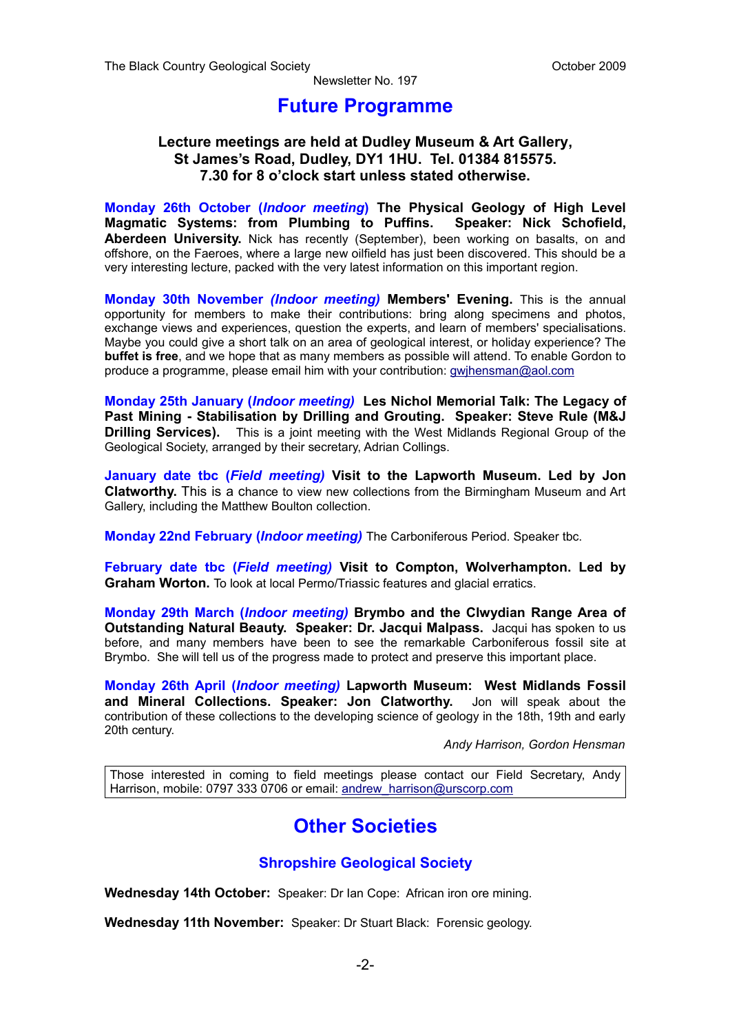### **Future Programme**

#### **Lecture meetings are held at Dudley Museum & Art Gallery, St James's Road, Dudley, DY1 1HU. Tel. 01384 815575. 7.30 for 8 o'clock start unless stated otherwise.**

**Monday 26th October (***Indoor meeting***) The Physical Geology of High Level Magmatic Systems: from Plumbing to Puffins. Speaker: Nick Schofield, Aberdeen University.** Nick has recently (September), been working on basalts, on and offshore, on the Faeroes, where a large new oilfield has just been discovered. This should be a very interesting lecture, packed with the very latest information on this important region.

**Monday 30th November** *(Indoor meeting)* **Members' Evening.** This is the annual opportunity for members to make their contributions: bring along specimens and photos, exchange views and experiences, question the experts, and learn of members' specialisations. Maybe you could give a short talk on an area of geological interest, or holiday experience? The **buffet is free**, and we hope that as many members as possible will attend. To enable Gordon to produce a programme, please email him with your contribution: [gwjhensman@aol.com](mailto:gwjhensman@aol.com)

**Monday 25th January (***Indoor meeting)* **Les Nichol Memorial Talk: The Legacy of Past Mining - Stabilisation by Drilling and Grouting. Speaker: Steve Rule (M&J Drilling Services).** This is a joint meeting with the West Midlands Regional Group of the Geological Society, arranged by their secretary, Adrian Collings.

**January date tbc (***Field meeting)* **Visit to the Lapworth Museum. Led by Jon Clatworthy.** This is a chance to view new collections from the Birmingham Museum and Art Gallery, including the Matthew Boulton collection.

**Monday 22nd February (***Indoor meeting)* The Carboniferous Period. Speaker tbc.

**February date tbc (***Field meeting)* **Visit to Compton, Wolverhampton. Led by Graham Worton.** To look at local Permo/Triassic features and glacial erratics.

**Monday 29th March (***Indoor meeting)* **Brymbo and the Clwydian Range Area of Outstanding Natural Beauty. Speaker: Dr. Jacqui Malpass.** Jacqui has spoken to us before, and many members have been to see the remarkable Carboniferous fossil site at Brymbo. She will tell us of the progress made to protect and preserve this important place.

**Monday 26th April (***Indoor meeting)* **Lapworth Museum: West Midlands Fossil and Mineral Collections. Speaker: Jon Clatworthy.** Jon will speak about the contribution of these collections to the developing science of geology in the 18th, 19th and early 20th century.

*Andy Harrison, Gordon Hensman*

Those interested in coming to field meetings please contact our Field Secretary, Andy Harrison, mobile: 0797 333 0706 or email: [andrew\\_harrison@urscorp.com](mailto:andrew_harrison@urscorp.com)

## **Other Societies**

#### **Shropshire Geological Society**

**Wednesday 14th October:** Speaker: Dr Ian Cope: African iron ore mining.

**Wednesday 11th November:** Speaker: Dr Stuart Black: Forensic geology.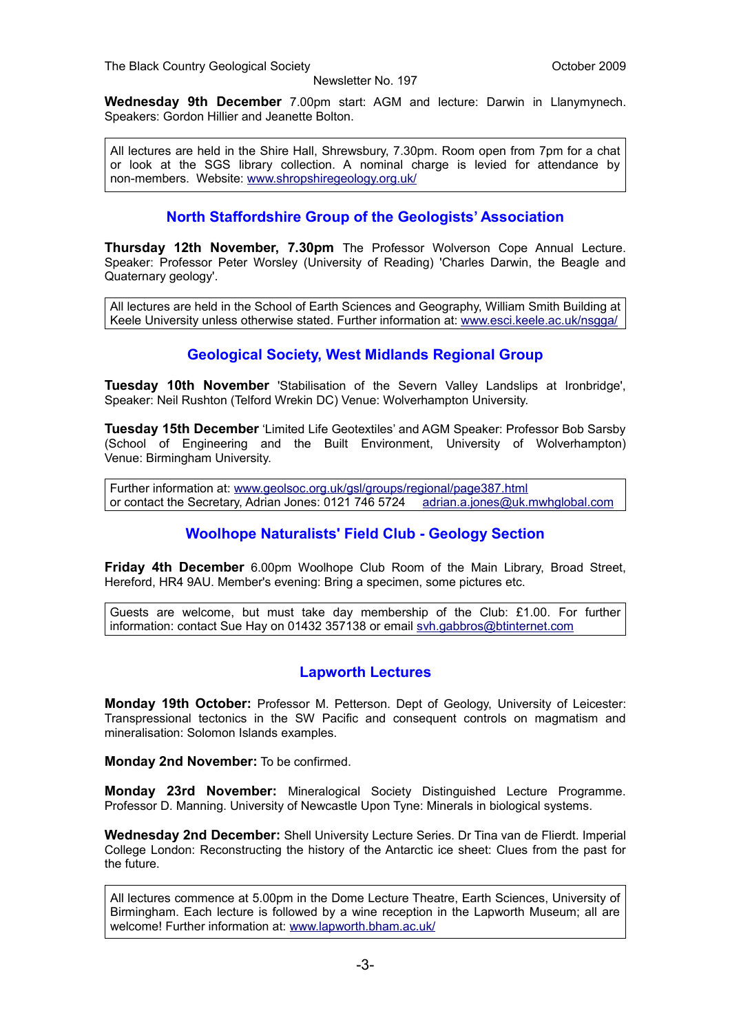**Wednesday 9th December** 7.00pm start: AGM and lecture: Darwin in Llanymynech. Speakers: Gordon Hillier and Jeanette Bolton.

All lectures are held in the Shire Hall, Shrewsbury, 7.30pm. Room open from 7pm for a chat or look at the SGS library collection. A nominal charge is levied for attendance by non-members. Website: [www.shropshiregeology.org.uk/](http://www.shropshiregeology.org.uk/)

#### **North Staffordshire Group of the Geologists' Association**

**Thursday 12th November, 7.30pm** The Professor Wolverson Cope Annual Lecture. Speaker: Professor Peter Worsley (University of Reading) 'Charles Darwin, the Beagle and Quaternary geology'.

All lectures are held in the School of Earth Sciences and Geography, William Smith Building at Keele University unless otherwise stated. Further information at: [www.esci.keele.ac.uk/nsgga/](http://www.esci.keele.ac.uk/nsgga/)

#### **Geological Society, West Midlands Regional Group**

**Tuesday 10th November** 'Stabilisation of the Severn Valley Landslips at Ironbridge', Speaker: Neil Rushton (Telford Wrekin DC) Venue: Wolverhampton University.

**Tuesday 15th December** 'Limited Life Geotextiles' and AGM Speaker: Professor Bob Sarsby (School of Engineering and the Built Environment, University of Wolverhampton) Venue: Birmingham University.

Further information at: [www.geolsoc.org.uk/gsl/groups/regional/page387.html](http://www.geolsoc.org.uk/gsl/groups/regional/page387.html) or contact the Secretary, Adrian Jones: 0121 746 5724 [adrian.a.jones@uk.mwhglobal.com](mailto:adrian.a.jones@uk.mwhglobal.com)

#### **Woolhope Naturalists' Field Club - Geology Section**

**Friday 4th December** 6.00pm Woolhope Club Room of the Main Library, Broad Street, Hereford, HR4 9AU. Member's evening: Bring a specimen, some pictures etc.

Guests are welcome, but must take day membership of the Club: £1.00. For further information: contact Sue Hay on 01432 357138 or email [svh.gabbros@btinternet.com](mailto:svh.gabbros@btinternet.com)

#### **Lapworth Lectures**

**Monday 19th October:** Professor M. Petterson. Dept of Geology, University of Leicester: Transpressional tectonics in the SW Pacific and consequent controls on magmatism and mineralisation: Solomon Islands examples.

**Monday 2nd November:** To be confirmed.

**Monday 23rd November:** Mineralogical Society Distinguished Lecture Programme. Professor D. Manning. University of Newcastle Upon Tyne: Minerals in biological systems.

**Wednesday 2nd December:** Shell University Lecture Series. Dr Tina van de Flierdt. Imperial College London: Reconstructing the history of the Antarctic ice sheet: Clues from the past for the future.

All lectures commence at 5.00pm in the Dome Lecture Theatre, Earth Sciences, University of Birmingham. Each lecture is followed by a wine reception in the Lapworth Museum; all are welcome! Further information at: [www.lapworth.bham.ac.uk/](http://www.lapworth.bham.ac.uk/)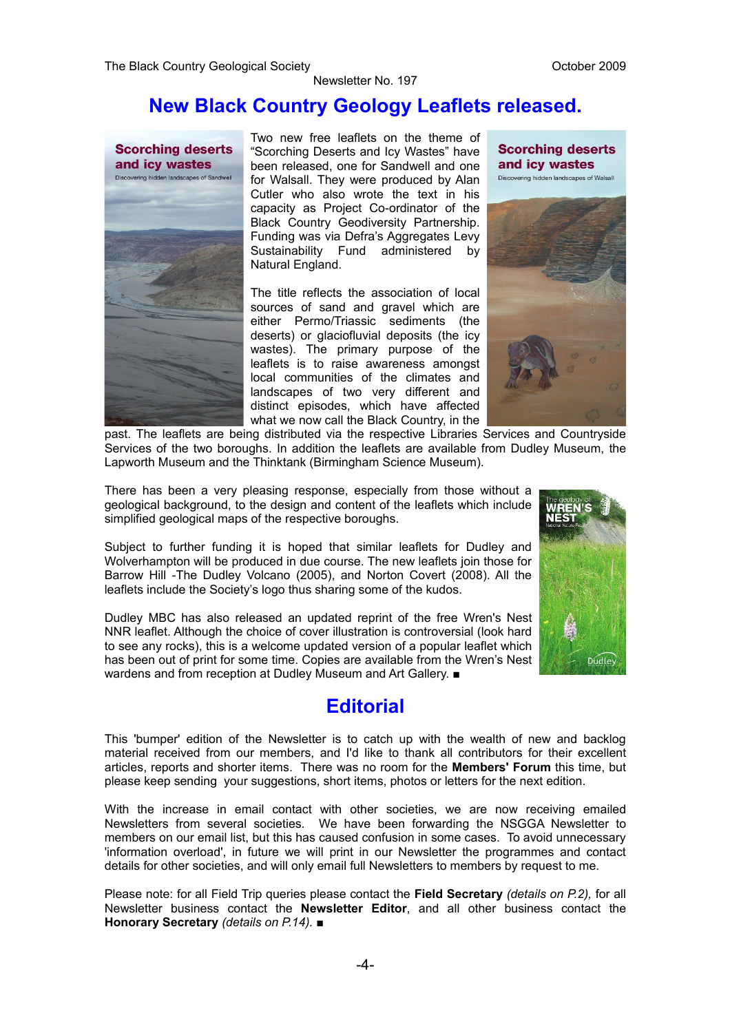## **New Black Country Geology Leaflets released.**



Two new free leaflets on the theme of "Scorching Deserts and Icy Wastes" have been released, one for Sandwell and one for Walsall. They were produced by Alan Cutler who also wrote the text in his capacity as Project Co-ordinator of the Black Country Geodiversity Partnership. Funding was via Defra's Aggregates Levy Sustainability Fund administered by Natural England.

The title reflects the association of local sources of sand and gravel which are either Permo/Triassic sediments (the deserts) or glaciofluvial deposits (the icy wastes). The primary purpose of the leaflets is to raise awareness amongst local communities of the climates and landscapes of two very different and distinct episodes, which have affected what we now call the Black Country, in the

**Scorching deserts** and icy wastes Discovering hidden landscapes of Walsall



past. The leaflets are being distributed via the respective Libraries Services and Countryside Services of the two boroughs. In addition the leaflets are available from Dudley Museum, the Lapworth Museum and the Thinktank (Birmingham Science Museum).

There has been a very pleasing response, especially from those without a geological background, to the design and content of the leaflets which include simplified geological maps of the respective boroughs.

Subject to further funding it is hoped that similar leaflets for Dudley and Wolverhampton will be produced in due course. The new leaflets join those for Barrow Hill -The Dudley Volcano (2005), and Norton Covert (2008). All the leaflets include the Society's logo thus sharing some of the kudos.

Dudley MBC has also released an updated reprint of the free Wren's Nest NNR leaflet. Although the choice of cover illustration is controversial (look hard to see any rocks), this is a welcome updated version of a popular leaflet which has been out of print for some time. Copies are available from the Wren's Nest wardens and from reception at Dudley Museum and Art Gallery. ■

## **Editorial**

This 'bumper' edition of the Newsletter is to catch up with the wealth of new and backlog material received from our members, and I'd like to thank all contributors for their excellent articles, reports and shorter items. There was no room for the **Members' Forum** this time, but please keep sending your suggestions, short items, photos or letters for the next edition.

With the increase in email contact with other societies, we are now receiving emailed Newsletters from several societies. We have been forwarding the NSGGA Newsletter to members on our email list, but this has caused confusion in some cases. To avoid unnecessary 'information overload', in future we will print in our Newsletter the programmes and contact details for other societies, and will only email full Newsletters to members by request to me.

Please note: for all Field Trip queries please contact the **Field Secretary** *(details on P.2),* for all Newsletter business contact the **Newsletter Editor**, and all other business contact the **Honorary Secretary** *(details on P.14).* ■

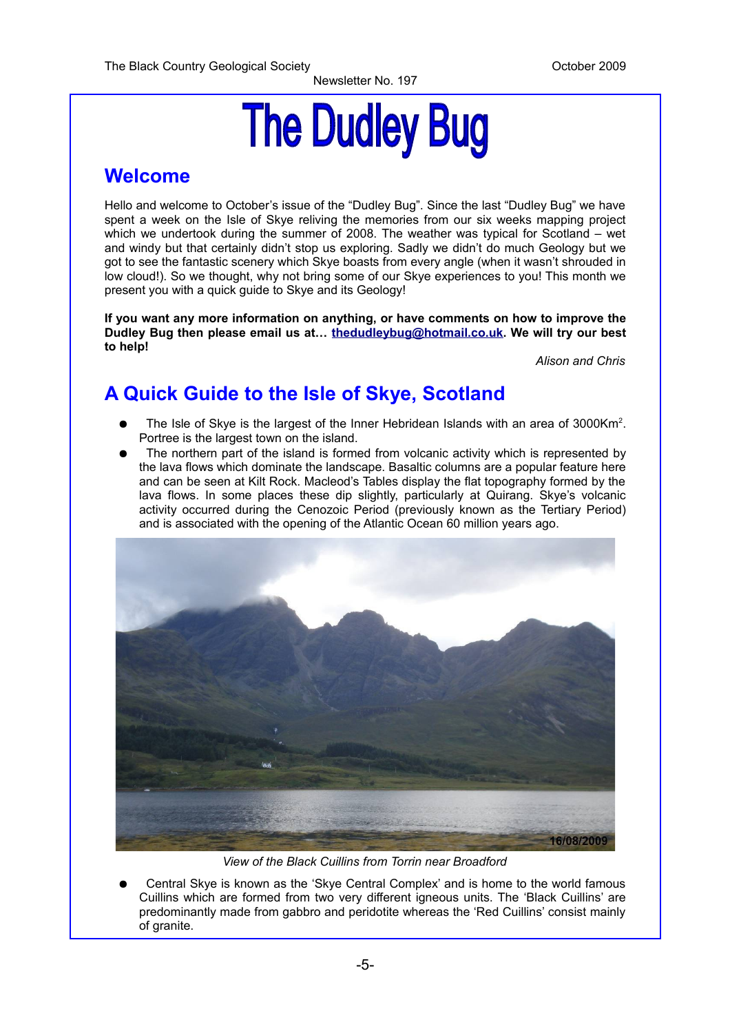# **The Dudley Bug**

## **Welcome**

Hello and welcome to October's issue of the "Dudley Bug". Since the last "Dudley Bug" we have spent a week on the Isle of Skye reliving the memories from our six weeks mapping project which we undertook during the summer of 2008. The weather was typical for Scotland – wet and windy but that certainly didn't stop us exploring. Sadly we didn't do much Geology but we got to see the fantastic scenery which Skye boasts from every angle (when it wasn't shrouded in low cloud!). So we thought, why not bring some of our Skye experiences to you! This month we present you with a quick guide to Skye and its Geology!

**If you want any more information on anything, or have comments on how to improve the Dudley Bug then please email us at… [thedudleybug@hotmail.co.uk.](mailto:thedudleybug@hotmail.co.uk) We will try our best to help!**

*Alison and Chris*

## **A Quick Guide to the Isle of Skye, Scotland**

- The Isle of Skye is the largest of the Inner Hebridean Islands with an area of 3000Km<sup>2</sup>. Portree is the largest town on the island.
- The northern part of the island is formed from volcanic activity which is represented by the lava flows which dominate the landscape. Basaltic columns are a popular feature here and can be seen at Kilt Rock. Macleod's Tables display the flat topography formed by the lava flows. In some places these dip slightly, particularly at Quirang. Skye's volcanic activity occurred during the Cenozoic Period (previously known as the Tertiary Period) and is associated with the opening of the Atlantic Ocean 60 million years ago.



*View of the Black Cuillins from Torrin near Broadford*

Central Skye is known as the 'Skye Central Complex' and is home to the world famous Cuillins which are formed from two very different igneous units. The 'Black Cuillins' are predominantly made from gabbro and peridotite whereas the 'Red Cuillins' consist mainly of granite.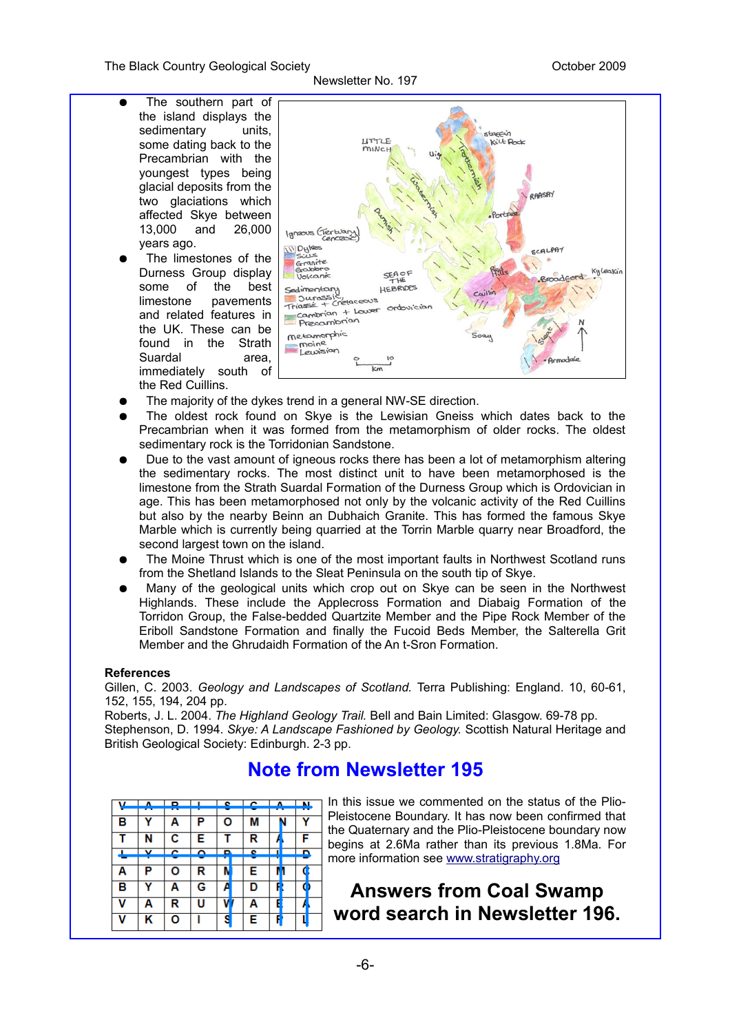The Black Country Geological Society **Containers** Containers Containers October 2009

#### Newsletter No. 197

- The southern part of the island displays the sedimentary units, some dating back to the Precambrian with the youngest types being glacial deposits from the two glaciations which affected Skye between 13,000 and 26,000 years ago.
	- The limestones of the Durness Group display some of the best limestone pavements and related features in the UK. These can be found in the Strath Suardal area, immediately south of the Red Cuillins.



- The majority of the dykes trend in a general NW-SE direction.
- The oldest rock found on Skye is the Lewisian Gneiss which dates back to the Precambrian when it was formed from the metamorphism of older rocks. The oldest sedimentary rock is the Torridonian Sandstone.
- Due to the vast amount of igneous rocks there has been a lot of metamorphism altering the sedimentary rocks. The most distinct unit to have been metamorphosed is the limestone from the Strath Suardal Formation of the Durness Group which is Ordovician in age. This has been metamorphosed not only by the volcanic activity of the Red Cuillins but also by the nearby Beinn an Dubhaich Granite. This has formed the famous Skye Marble which is currently being quarried at the Torrin Marble quarry near Broadford, the second largest town on the island.
- The Moine Thrust which is one of the most important faults in Northwest Scotland runs from the Shetland Islands to the Sleat Peninsula on the south tip of Skye.
- Many of the geological units which crop out on Skye can be seen in the Northwest Highlands. These include the Applecross Formation and Diabaig Formation of the Torridon Group, the False-bedded Quartzite Member and the Pipe Rock Member of the Eriboll Sandstone Formation and finally the Fucoid Beds Member, the Salterella Grit Member and the Ghrudaidh Formation of the An t-Sron Formation.

#### **References**

Gillen, C. 2003. *Geology and Landscapes of Scotland.* Terra Publishing: England. 10, 60-61, 152, 155, 194, 204 pp.

Roberts, J. L. 2004. *The Highland Geology Trail.* Bell and Bain Limited: Glasgow. 69-78 pp. Stephenson, D. 1994. *Skye: A Landscape Fashioned by Geology.* Scottish Natural Heritage and British Geological Society: Edinburgh. 2-3 pp.

## **Note from Newsletter 195**

| $\mathbf{v}$ |   |              | $P = 1$ . $P = 1$ |   |   |   | м |
|--------------|---|--------------|-------------------|---|---|---|---|
| в            |   | Α            | P                 | О | М |   |   |
|              | N | $\mathbf{c}$ | Е                 |   | R |   | F |
|              | v | ∼            | ⌒                 | D | ۰ |   | n |
| Α            | P | о            | R                 |   | Е |   |   |
| в            |   | Α            | G                 |   | D |   |   |
| v            | Α | R            | U                 |   | Α |   |   |
| v            | ĸ | o            |                   | s | Е | F |   |

In this issue we commented on the status of the Plio-Pleistocene Boundary. It has now been confirmed that the Quaternary and the Plio-Pleistocene boundary now begins at 2.6Ma rather than its previous 1.8Ma. For more information see [www.stratigraphy.org](http://www.stratigraphy.org/)

## **Answers from Coal Swamp word search in Newsletter 196.**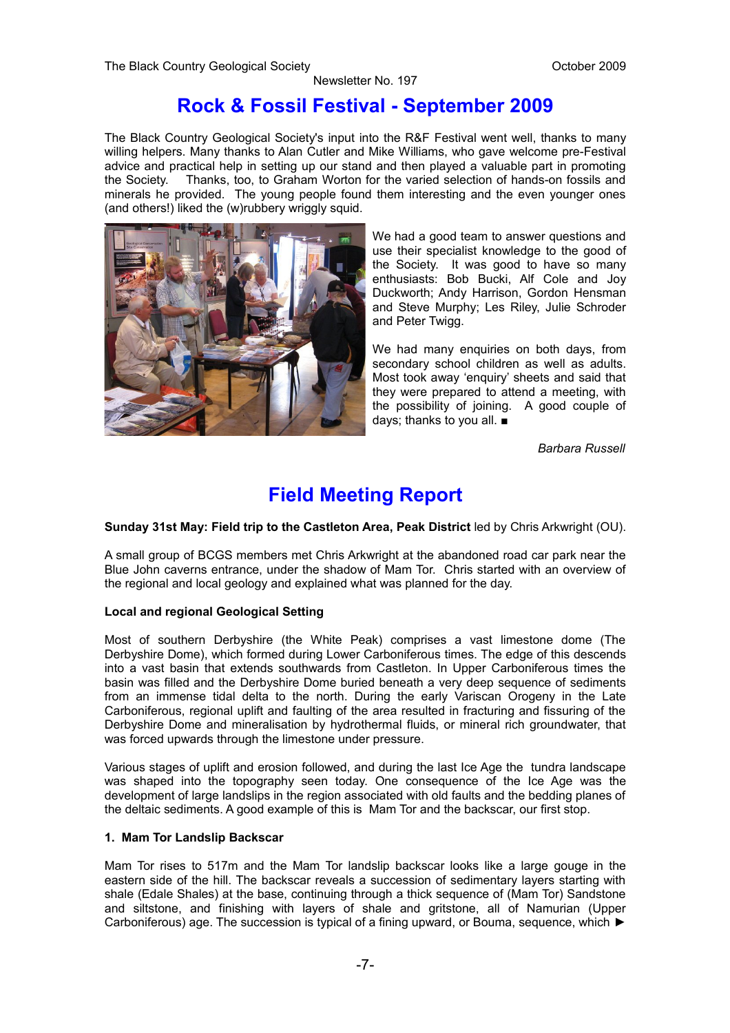## **Rock & Fossil Festival - September 2009**

The Black Country Geological Society's input into the R&F Festival went well, thanks to many willing helpers. Many thanks to Alan Cutler and Mike Williams, who gave welcome pre-Festival advice and practical help in setting up our stand and then played a valuable part in promoting the Society. Thanks, too, to Graham Worton for the varied selection of hands-on fossils and minerals he provided. The young people found them interesting and the even younger ones (and others!) liked the (w)rubbery wriggly squid.



We had a good team to answer questions and use their specialist knowledge to the good of the Society. It was good to have so many enthusiasts: Bob Bucki, Alf Cole and Joy Duckworth; Andy Harrison, Gordon Hensman and Steve Murphy; Les Riley, Julie Schroder and Peter Twigg.

We had many enquiries on both days, from secondary school children as well as adults. Most took away 'enquiry' sheets and said that they were prepared to attend a meeting, with the possibility of joining. A good couple of days; thanks to you all. ■

*Barbara Russell*

## **Field Meeting Report**

**Sunday 31st May: Field trip to the Castleton Area, Peak District** led by Chris Arkwright (OU).

A small group of BCGS members met Chris Arkwright at the abandoned road car park near the Blue John caverns entrance, under the shadow of Mam Tor. Chris started with an overview of the regional and local geology and explained what was planned for the day.

#### **Local and regional Geological Setting**

Most of southern Derbyshire (the White Peak) comprises a vast limestone dome (The Derbyshire Dome), which formed during Lower Carboniferous times. The edge of this descends into a vast basin that extends southwards from Castleton. In Upper Carboniferous times the basin was filled and the Derbyshire Dome buried beneath a very deep sequence of sediments from an immense tidal delta to the north. During the early Variscan Orogeny in the Late Carboniferous, regional uplift and faulting of the area resulted in fracturing and fissuring of the Derbyshire Dome and mineralisation by hydrothermal fluids, or mineral rich groundwater, that was forced upwards through the limestone under pressure.

Various stages of uplift and erosion followed, and during the last Ice Age the tundra landscape was shaped into the topography seen today. One consequence of the Ice Age was the development of large landslips in the region associated with old faults and the bedding planes of the deltaic sediments. A good example of this is Mam Tor and the backscar, our first stop.

#### **1. Mam Tor Landslip Backscar**

Mam Tor rises to 517m and the Mam Tor landslip backscar looks like a large gouge in the eastern side of the hill. The backscar reveals a succession of sedimentary layers starting with shale (Edale Shales) at the base, continuing through a thick sequence of (Mam Tor) Sandstone and siltstone, and finishing with layers of shale and gritstone, all of Namurian (Upper Carboniferous) age. The succession is typical of a fining upward, or Bouma, sequence, which ►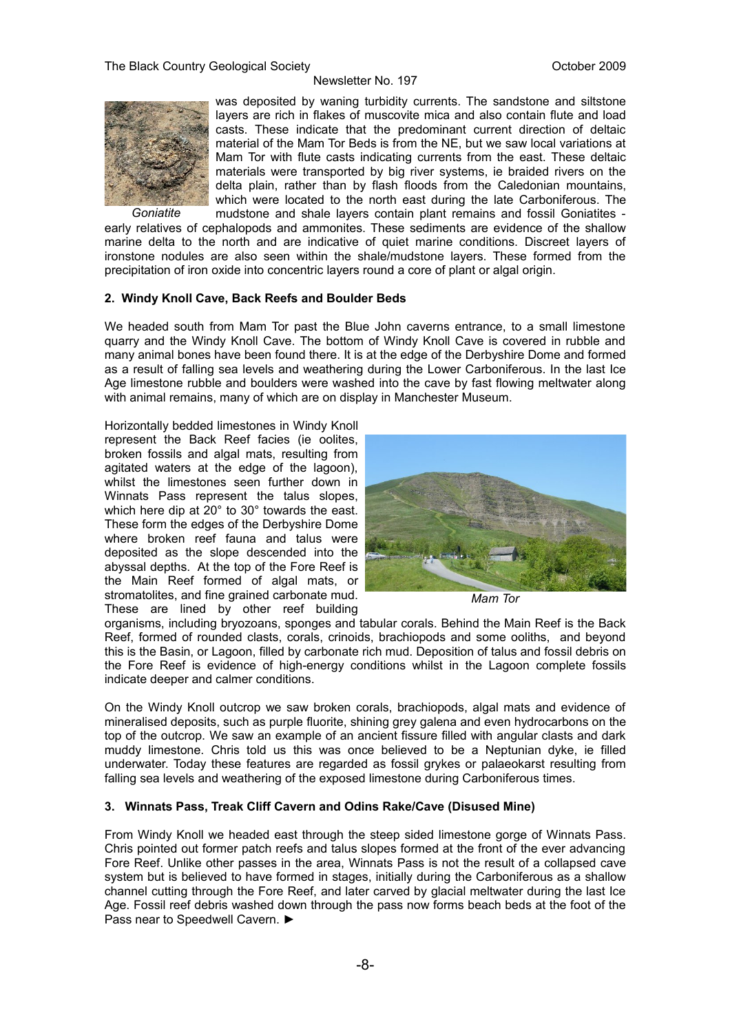

*Goniatite*

was deposited by waning turbidity currents. The sandstone and siltstone layers are rich in flakes of muscovite mica and also contain flute and load casts. These indicate that the predominant current direction of deltaic material of the Mam Tor Beds is from the NE, but we saw local variations at Mam Tor with flute casts indicating currents from the east. These deltaic materials were transported by big river systems, ie braided rivers on the delta plain, rather than by flash floods from the Caledonian mountains, which were located to the north east during the late Carboniferous. The mudstone and shale layers contain plant remains and fossil Goniatites -

early relatives of cephalopods and ammonites. These sediments are evidence of the shallow marine delta to the north and are indicative of quiet marine conditions. Discreet layers of ironstone nodules are also seen within the shale/mudstone layers. These formed from the precipitation of iron oxide into concentric layers round a core of plant or algal origin.

#### **2. Windy Knoll Cave, Back Reefs and Boulder Beds**

We headed south from Mam Tor past the Blue John caverns entrance, to a small limestone quarry and the Windy Knoll Cave. The bottom of Windy Knoll Cave is covered in rubble and many animal bones have been found there. It is at the edge of the Derbyshire Dome and formed as a result of falling sea levels and weathering during the Lower Carboniferous. In the last Ice Age limestone rubble and boulders were washed into the cave by fast flowing meltwater along with animal remains, many of which are on display in Manchester Museum.

Horizontally bedded limestones in Windy Knoll represent the Back Reef facies (ie oolites, broken fossils and algal mats, resulting from agitated waters at the edge of the lagoon), whilst the limestones seen further down in Winnats Pass represent the talus slopes, which here dip at 20° to 30° towards the east. These form the edges of the Derbyshire Dome where broken reef fauna and talus were deposited as the slope descended into the abyssal depths. At the top of the Fore Reef is the Main Reef formed of algal mats, or stromatolites, and fine grained carbonate mud. These are lined by other reef building



*Mam Tor*

organisms, including bryozoans, sponges and tabular corals. Behind the Main Reef is the Back Reef, formed of rounded clasts, corals, crinoids, brachiopods and some ooliths, and beyond this is the Basin, or Lagoon, filled by carbonate rich mud. Deposition of talus and fossil debris on the Fore Reef is evidence of high-energy conditions whilst in the Lagoon complete fossils indicate deeper and calmer conditions.

On the Windy Knoll outcrop we saw broken corals, brachiopods, algal mats and evidence of mineralised deposits, such as purple fluorite, shining grey galena and even hydrocarbons on the top of the outcrop. We saw an example of an ancient fissure filled with angular clasts and dark muddy limestone. Chris told us this was once believed to be a Neptunian dyke, ie filled underwater. Today these features are regarded as fossil grykes or palaeokarst resulting from falling sea levels and weathering of the exposed limestone during Carboniferous times.

#### **3. Winnats Pass, Treak Cliff Cavern and Odins Rake/Cave (Disused Mine)**

From Windy Knoll we headed east through the steep sided limestone gorge of Winnats Pass. Chris pointed out former patch reefs and talus slopes formed at the front of the ever advancing Fore Reef. Unlike other passes in the area, Winnats Pass is not the result of a collapsed cave system but is believed to have formed in stages, initially during the Carboniferous as a shallow channel cutting through the Fore Reef, and later carved by glacial meltwater during the last Ice Age. Fossil reef debris washed down through the pass now forms beach beds at the foot of the Pass near to Speedwell Cavern. ►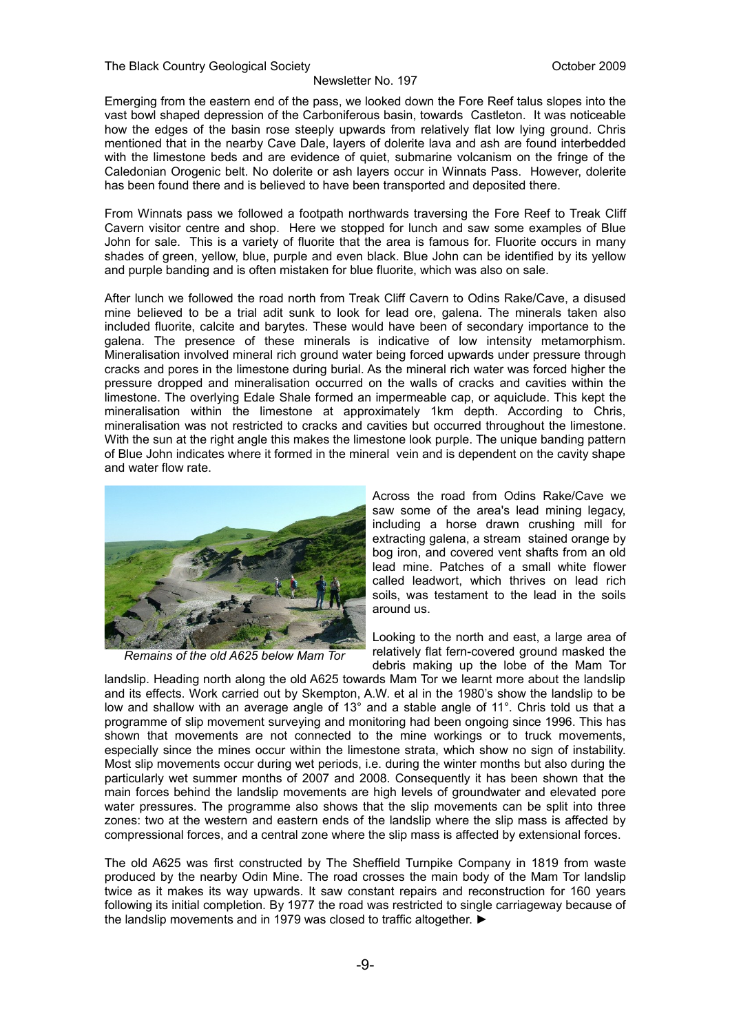Emerging from the eastern end of the pass, we looked down the Fore Reef talus slopes into the vast bowl shaped depression of the Carboniferous basin, towards Castleton. It was noticeable how the edges of the basin rose steeply upwards from relatively flat low lying ground. Chris mentioned that in the nearby Cave Dale, layers of dolerite lava and ash are found interbedded with the limestone beds and are evidence of quiet, submarine volcanism on the fringe of the Caledonian Orogenic belt. No dolerite or ash layers occur in Winnats Pass. However, dolerite has been found there and is believed to have been transported and deposited there.

From Winnats pass we followed a footpath northwards traversing the Fore Reef to Treak Cliff Cavern visitor centre and shop. Here we stopped for lunch and saw some examples of Blue John for sale. This is a variety of fluorite that the area is famous for. Fluorite occurs in many shades of green, yellow, blue, purple and even black. Blue John can be identified by its yellow and purple banding and is often mistaken for blue fluorite, which was also on sale.

After lunch we followed the road north from Treak Cliff Cavern to Odins Rake/Cave, a disused mine believed to be a trial adit sunk to look for lead ore, galena. The minerals taken also included fluorite, calcite and barytes. These would have been of secondary importance to the galena. The presence of these minerals is indicative of low intensity metamorphism. Mineralisation involved mineral rich ground water being forced upwards under pressure through cracks and pores in the limestone during burial. As the mineral rich water was forced higher the pressure dropped and mineralisation occurred on the walls of cracks and cavities within the limestone. The overlying Edale Shale formed an impermeable cap, or aquiclude. This kept the mineralisation within the limestone at approximately 1km depth. According to Chris, mineralisation was not restricted to cracks and cavities but occurred throughout the limestone. With the sun at the right angle this makes the limestone look purple. The unique banding pattern of Blue John indicates where it formed in the mineral vein and is dependent on the cavity shape and water flow rate.



*Remains of the old A625 below Mam Tor*

Across the road from Odins Rake/Cave we saw some of the area's lead mining legacy, including a horse drawn crushing mill for extracting galena, a stream stained orange by bog iron, and covered vent shafts from an old lead mine. Patches of a small white flower called leadwort, which thrives on lead rich soils, was testament to the lead in the soils around us.

Looking to the north and east, a large area of relatively flat fern-covered ground masked the debris making up the lobe of the Mam Tor

landslip. Heading north along the old A625 towards Mam Tor we learnt more about the landslip and its effects. Work carried out by Skempton, A.W. et al in the 1980's show the landslip to be low and shallow with an average angle of 13° and a stable angle of 11°. Chris told us that a programme of slip movement surveying and monitoring had been ongoing since 1996. This has shown that movements are not connected to the mine workings or to truck movements, especially since the mines occur within the limestone strata, which show no sign of instability. Most slip movements occur during wet periods, i.e. during the winter months but also during the particularly wet summer months of 2007 and 2008. Consequently it has been shown that the main forces behind the landslip movements are high levels of groundwater and elevated pore water pressures. The programme also shows that the slip movements can be split into three zones: two at the western and eastern ends of the landslip where the slip mass is affected by compressional forces, and a central zone where the slip mass is affected by extensional forces.

The old A625 was first constructed by The Sheffield Turnpike Company in 1819 from waste produced by the nearby Odin Mine. The road crosses the main body of the Mam Tor landslip twice as it makes its way upwards. It saw constant repairs and reconstruction for 160 years following its initial completion. By 1977 the road was restricted to single carriageway because of the landslip movements and in 1979 was closed to traffic altogether. ►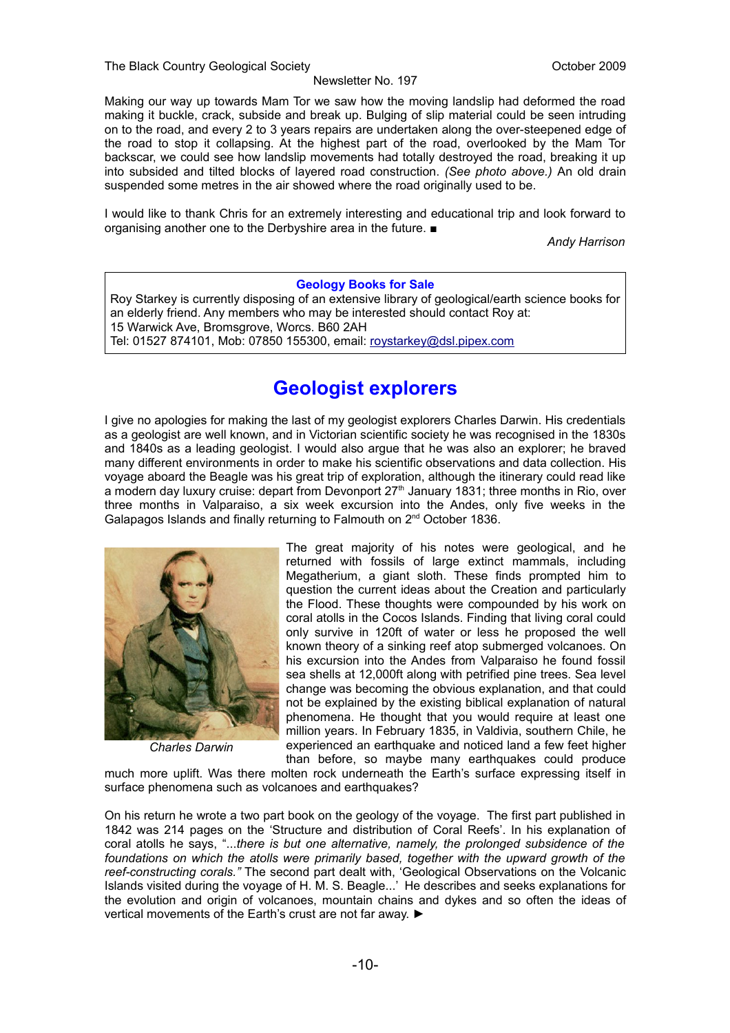Making our way up towards Mam Tor we saw how the moving landslip had deformed the road making it buckle, crack, subside and break up. Bulging of slip material could be seen intruding on to the road, and every 2 to 3 years repairs are undertaken along the over-steepened edge of the road to stop it collapsing. At the highest part of the road, overlooked by the Mam Tor backscar, we could see how landslip movements had totally destroyed the road, breaking it up into subsided and tilted blocks of layered road construction. *(See photo above.)* An old drain suspended some metres in the air showed where the road originally used to be.

I would like to thank Chris for an extremely interesting and educational trip and look forward to organising another one to the Derbyshire area in the future. ■

*Andy Harrison*

#### **Geology Books for Sale**

Roy Starkey is currently disposing of an extensive library of geological/earth science books for an elderly friend. Any members who may be interested should contact Roy at: 15 Warwick Ave, Bromsgrove, Worcs. B60 2AH

Tel: 01527 874101, Mob: 07850 155300, email: [roystarkey@dsl.pipex.com](mailto:roystarkey@dsl.pipex.com)

## **Geologist explorers**

I give no apologies for making the last of my geologist explorers Charles Darwin. His credentials as a geologist are well known, and in Victorian scientific society he was recognised in the 1830s and 1840s as a leading geologist. I would also argue that he was also an explorer; he braved many different environments in order to make his scientific observations and data collection. His voyage aboard the Beagle was his great trip of exploration, although the itinerary could read like a modern day luxury cruise: depart from Devonport 27<sup>th</sup> January 1831; three months in Rio, over three months in Valparaiso, a six week excursion into the Andes, only five weeks in the Galapagos Islands and finally returning to Falmouth on 2nd October 1836.



*Charles Darwin*

The great majority of his notes were geological, and he returned with fossils of large extinct mammals, including Megatherium, a giant sloth. These finds prompted him to question the current ideas about the Creation and particularly the Flood. These thoughts were compounded by his work on coral atolls in the Cocos Islands. Finding that living coral could only survive in 120ft of water or less he proposed the well known theory of a sinking reef atop submerged volcanoes. On his excursion into the Andes from Valparaiso he found fossil sea shells at 12,000ft along with petrified pine trees. Sea level change was becoming the obvious explanation, and that could not be explained by the existing biblical explanation of natural phenomena. He thought that you would require at least one million years. In February 1835, in Valdivia, southern Chile, he experienced an earthquake and noticed land a few feet higher than before, so maybe many earthquakes could produce

much more uplift. Was there molten rock underneath the Earth's surface expressing itself in surface phenomena such as volcanoes and earthquakes?

On his return he wrote a two part book on the geology of the voyage. The first part published in 1842 was 214 pages on the 'Structure and distribution of Coral Reefs'. In his explanation of coral atolls he says, "...*there is but one alternative, namely, the prolonged subsidence of the foundations on which the atolls were primarily based, together with the upward growth of the reef-constructing corals."* The second part dealt with, 'Geological Observations on the Volcanic Islands visited during the voyage of H. M. S. Beagle...' He describes and seeks explanations for the evolution and origin of volcanoes, mountain chains and dykes and so often the ideas of vertical movements of the Earth's crust are not far away. ►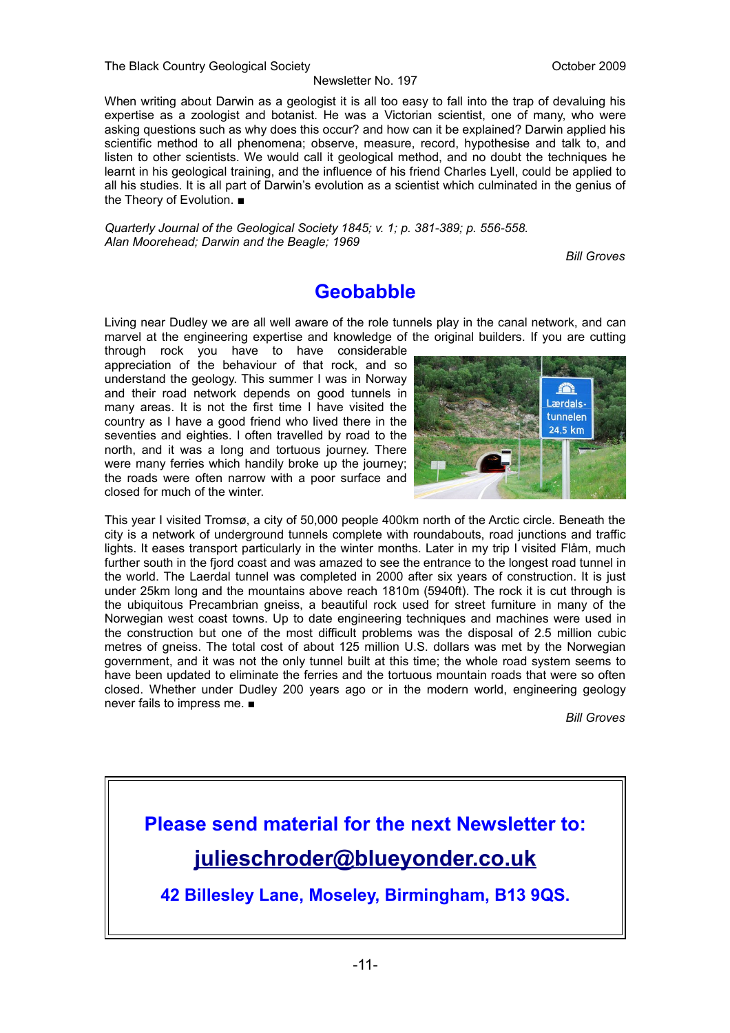When writing about Darwin as a geologist it is all too easy to fall into the trap of devaluing his expertise as a zoologist and botanist. He was a Victorian scientist, one of many, who were asking questions such as why does this occur? and how can it be explained? Darwin applied his scientific method to all phenomena; observe, measure, record, hypothesise and talk to, and listen to other scientists. We would call it geological method, and no doubt the techniques he learnt in his geological training, and the influence of his friend Charles Lyell, could be applied to all his studies. It is all part of Darwin's evolution as a scientist which culminated in the genius of the Theory of Evolution. ■

*Quarterly Journal of the Geological Society 1845; v. 1; p. 381-389; p. 556-558. Alan Moorehead; Darwin and the Beagle; 1969*

*Bill Groves*

## **Geobabble**

Living near Dudley we are all well aware of the role tunnels play in the canal network, and can marvel at the engineering expertise and knowledge of the original builders. If you are cutting

through rock you have to have considerable appreciation of the behaviour of that rock, and so understand the geology. This summer I was in Norway and their road network depends on good tunnels in many areas. It is not the first time I have visited the country as I have a good friend who lived there in the seventies and eighties. I often travelled by road to the north, and it was a long and tortuous journey. There were many ferries which handily broke up the journey; the roads were often narrow with a poor surface and closed for much of the winter.



This year I visited Tromsø, a city of 50,000 people 400km north of the Arctic circle. Beneath the city is a network of underground tunnels complete with roundabouts, road junctions and traffic lights. It eases transport particularly in the winter months. Later in my trip I visited Flåm, much further south in the fjord coast and was amazed to see the entrance to the longest road tunnel in the world. The Laerdal tunnel was completed in 2000 after six years of construction. It is just under 25km long and the mountains above reach 1810m (5940ft). The rock it is cut through is the ubiquitous Precambrian gneiss, a beautiful rock used for street furniture in many of the Norwegian west coast towns. Up to date engineering techniques and machines were used in the construction but one of the most difficult problems was the disposal of 2.5 million cubic metres of gneiss. The total cost of about 125 million U.S. dollars was met by the Norwegian government, and it was not the only tunnel built at this time; the whole road system seems to have been updated to eliminate the ferries and the tortuous mountain roads that were so often closed. Whether under Dudley 200 years ago or in the modern world, engineering geology never fails to impress me. ■

*Bill Groves*

## **Please send material for the next Newsletter to: [julieschroder@blueyonder.co.uk](mailto:julieschroder@blueyonder.co.uk)**

**42 Billesley Lane, Moseley, Birmingham, B13 9QS.**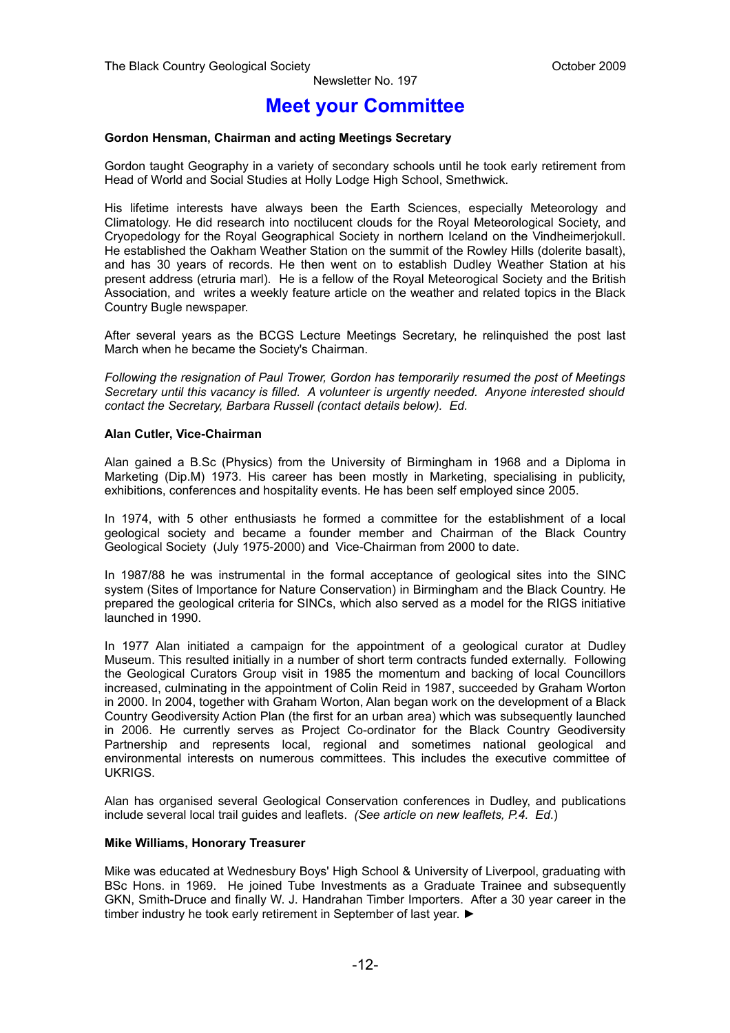## **Meet your Committee**

#### **Gordon Hensman, Chairman and acting Meetings Secretary**

Gordon taught Geography in a variety of secondary schools until he took early retirement from Head of World and Social Studies at Holly Lodge High School, Smethwick.

His lifetime interests have always been the Earth Sciences, especially Meteorology and Climatology. He did research into noctilucent clouds for the Royal Meteorological Society, and Cryopedology for the Royal Geographical Society in northern Iceland on the Vindheimerjokull. He established the Oakham Weather Station on the summit of the Rowley Hills (dolerite basalt), and has 30 years of records. He then went on to establish Dudley Weather Station at his present address (etruria marl). He is a fellow of the Royal Meteorogical Society and the British Association, and writes a weekly feature article on the weather and related topics in the Black Country Bugle newspaper.

After several years as the BCGS Lecture Meetings Secretary, he relinquished the post last March when he became the Society's Chairman.

*Following the resignation of Paul Trower, Gordon has temporarily resumed the post of Meetings Secretary until this vacancy is filled. A volunteer is urgently needed. Anyone interested should contact the Secretary, Barbara Russell (contact details below). Ed.*

#### **Alan Cutler, Vice-Chairman**

Alan gained a B.Sc (Physics) from the University of Birmingham in 1968 and a Diploma in Marketing (Dip.M) 1973. His career has been mostly in Marketing, specialising in publicity, exhibitions, conferences and hospitality events. He has been self employed since 2005.

In 1974, with 5 other enthusiasts he formed a committee for the establishment of a local geological society and became a founder member and Chairman of the Black Country Geological Society (July 1975-2000) and Vice-Chairman from 2000 to date.

In 1987/88 he was instrumental in the formal acceptance of geological sites into the SINC system (Sites of Importance for Nature Conservation) in Birmingham and the Black Country. He prepared the geological criteria for SINCs, which also served as a model for the RIGS initiative launched in 1990.

In 1977 Alan initiated a campaign for the appointment of a geological curator at Dudley Museum. This resulted initially in a number of short term contracts funded externally. Following the Geological Curators Group visit in 1985 the momentum and backing of local Councillors increased, culminating in the appointment of Colin Reid in 1987, succeeded by Graham Worton in 2000. In 2004, together with Graham Worton, Alan began work on the development of a Black Country Geodiversity Action Plan (the first for an urban area) which was subsequently launched in 2006. He currently serves as Project Co-ordinator for the Black Country Geodiversity Partnership and represents local, regional and sometimes national geological and environmental interests on numerous committees. This includes the executive committee of UKRIGS.

Alan has organised several Geological Conservation conferences in Dudley, and publications include several local trail guides and leaflets. *(See article on new leaflets, P.4. Ed*.)

#### **Mike Williams, Honorary Treasurer**

Mike was educated at Wednesbury Boys' High School & University of Liverpool, graduating with BSc Hons. in 1969. He joined Tube Investments as a Graduate Trainee and subsequently GKN, Smith-Druce and finally W. J. Handrahan Timber Importers. After a 30 year career in the timber industry he took early retirement in September of last year. ►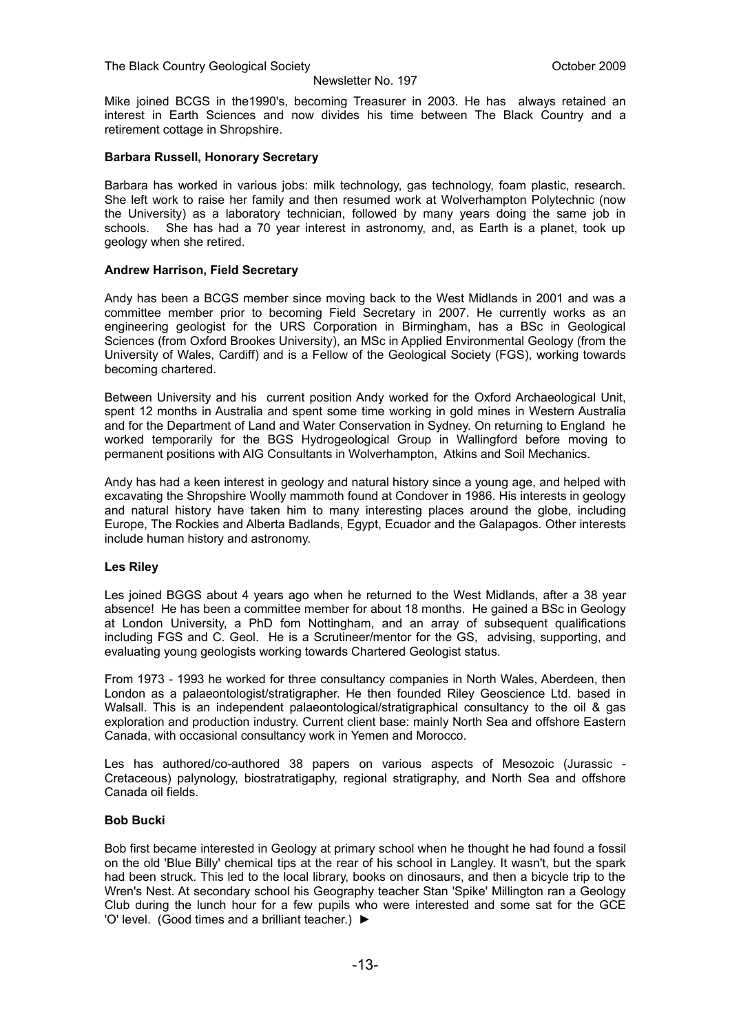Mike joined BCGS in the1990's, becoming Treasurer in 2003. He has always retained an interest in Earth Sciences and now divides his time between The Black Country and a retirement cottage in Shropshire.

#### **Barbara Russell, Honorary Secretary**

Barbara has worked in various jobs: milk technology, gas technology, foam plastic, research. She left work to raise her family and then resumed work at Wolverhampton Polytechnic (now the University) as a laboratory technician, followed by many years doing the same job in schools. She has had a 70 year interest in astronomy, and, as Earth is a planet, took up geology when she retired.

#### **Andrew Harrison, Field Secretary**

Andy has been a BCGS member since moving back to the West Midlands in 2001 and was a committee member prior to becoming Field Secretary in 2007. He currently works as an engineering geologist for the URS Corporation in Birmingham, has a BSc in Geological Sciences (from Oxford Brookes University), an MSc in Applied Environmental Geology (from the University of Wales, Cardiff) and is a Fellow of the Geological Society (FGS), working towards becoming chartered.

Between University and his current position Andy worked for the Oxford Archaeological Unit, spent 12 months in Australia and spent some time working in gold mines in Western Australia and for the Department of Land and Water Conservation in Sydney. On returning to England he worked temporarily for the BGS Hydrogeological Group in Wallingford before moving to permanent positions with AIG Consultants in Wolverhampton, Atkins and Soil Mechanics.

Andy has had a keen interest in geology and natural history since a young age, and helped with excavating the Shropshire Woolly mammoth found at Condover in 1986. His interests in geology and natural history have taken him to many interesting places around the globe, including Europe, The Rockies and Alberta Badlands, Egypt, Ecuador and the Galapagos. Other interests include human history and astronomy.

#### **Les Riley**

Les joined BGGS about 4 years ago when he returned to the West Midlands, after a 38 year absence! He has been a committee member for about 18 months. He gained a BSc in Geology at London University, a PhD fom Nottingham, and an array of subsequent qualifications including FGS and C. Geol. He is a Scrutineer/mentor for the GS, advising, supporting, and evaluating young geologists working towards Chartered Geologist status.

From 1973 - 1993 he worked for three consultancy companies in North Wales, Aberdeen, then London as a palaeontologist/stratigrapher. He then founded Riley Geoscience Ltd. based in Walsall. This is an independent palaeontological/stratigraphical consultancy to the oil & gas exploration and production industry. Current client base: mainly North Sea and offshore Eastern Canada, with occasional consultancy work in Yemen and Morocco.

Les has authored/co-authored 38 papers on various aspects of Mesozoic (Jurassic - Cretaceous) palynology, biostratratigaphy, regional stratigraphy, and North Sea and offshore Canada oil fields.

#### **Bob Bucki**

Bob first became interested in Geology at primary school when he thought he had found a fossil on the old 'Blue Billy' chemical tips at the rear of his school in Langley. It wasn't, but the spark had been struck. This led to the local library, books on dinosaurs, and then a bicycle trip to the Wren's Nest. At secondary school his Geography teacher Stan 'Spike' Millington ran a Geology Club during the lunch hour for a few pupils who were interested and some sat for the GCE 'O' level. (Good times and a brilliant teacher.) ►